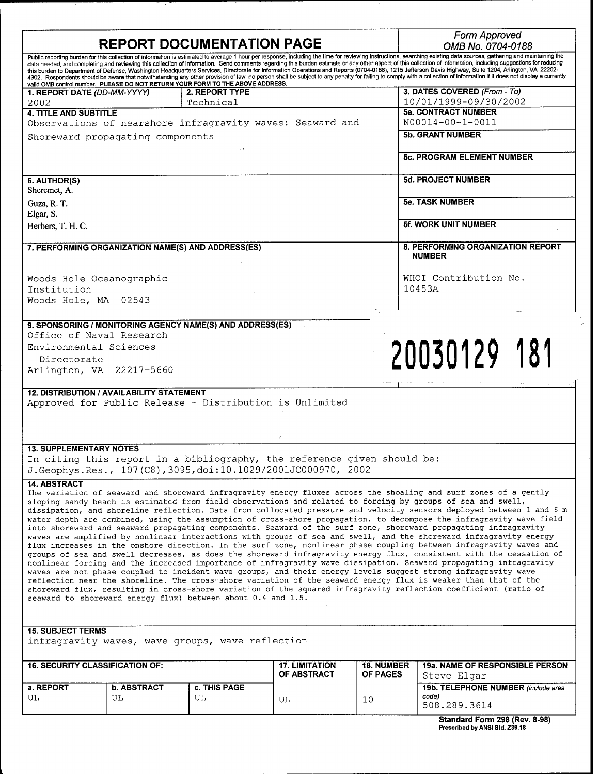|                                                                                                                                                                                                                                                                                                                                                                                                                                                                                                                                                                                                                                                                                                                                                                                                                                                                                                                                                                                                                                                                                                                                                                                                                                                                                                                                                                                                                                                                                                                                       | <b>REPORT DOCUMENTATION PAGE</b> |                                                                         | Form Approved                        |                                      |                                                       |  |  |  |  |
|---------------------------------------------------------------------------------------------------------------------------------------------------------------------------------------------------------------------------------------------------------------------------------------------------------------------------------------------------------------------------------------------------------------------------------------------------------------------------------------------------------------------------------------------------------------------------------------------------------------------------------------------------------------------------------------------------------------------------------------------------------------------------------------------------------------------------------------------------------------------------------------------------------------------------------------------------------------------------------------------------------------------------------------------------------------------------------------------------------------------------------------------------------------------------------------------------------------------------------------------------------------------------------------------------------------------------------------------------------------------------------------------------------------------------------------------------------------------------------------------------------------------------------------|----------------------------------|-------------------------------------------------------------------------|--------------------------------------|--------------------------------------|-------------------------------------------------------|--|--|--|--|
|                                                                                                                                                                                                                                                                                                                                                                                                                                                                                                                                                                                                                                                                                                                                                                                                                                                                                                                                                                                                                                                                                                                                                                                                                                                                                                                                                                                                                                                                                                                                       |                                  |                                                                         | OMB No. 0704-0188                    |                                      |                                                       |  |  |  |  |
| Public reporting burden for this collection of information is estimated to average 1 hour per response, including the time for reviewing instructions, searching existing data sources, gathering and maintaining the<br>data needed, and completing and reviewing this collection of information. Send comments regarding this burden estimate or any other aspect of this collection of information, including suggestions for reducing<br>this burden to Department of Defense, Washington Headquarters Services, Directorate for Information Operations and Reports (0704-0188), 1215 Jefferson Davis Highway, Suite 1204, Arlington, VA 22202-<br>4302. Respondents should be aware that notwithstanding any other provision of law, no person shall be subject to any penalty for failing to comply with a collection of information if it does not display a currently<br>valid OMB control number. PLEASE DO NOT RETURN YOUR FORM TO THE ABOVE ADDRESS.                                                                                                                                                                                                                                                                                                                                                                                                                                                                                                                                                                       |                                  |                                                                         |                                      |                                      |                                                       |  |  |  |  |
| 1. REPORT DATE (DD-MM-YYYY)                                                                                                                                                                                                                                                                                                                                                                                                                                                                                                                                                                                                                                                                                                                                                                                                                                                                                                                                                                                                                                                                                                                                                                                                                                                                                                                                                                                                                                                                                                           |                                  | 2. REPORT TYPE<br>Technical                                             |                                      |                                      | 3. DATES COVERED (From - To)<br>10/01/1999-09/30/2002 |  |  |  |  |
| 2002<br><b>4. TITLE AND SUBTITLE</b>                                                                                                                                                                                                                                                                                                                                                                                                                                                                                                                                                                                                                                                                                                                                                                                                                                                                                                                                                                                                                                                                                                                                                                                                                                                                                                                                                                                                                                                                                                  |                                  |                                                                         |                                      |                                      | <b>5a. CONTRACT NUMBER</b>                            |  |  |  |  |
|                                                                                                                                                                                                                                                                                                                                                                                                                                                                                                                                                                                                                                                                                                                                                                                                                                                                                                                                                                                                                                                                                                                                                                                                                                                                                                                                                                                                                                                                                                                                       |                                  | Observations of nearshore infragravity waves: Seaward and               |                                      |                                      | N00014-00-1-0011                                      |  |  |  |  |
|                                                                                                                                                                                                                                                                                                                                                                                                                                                                                                                                                                                                                                                                                                                                                                                                                                                                                                                                                                                                                                                                                                                                                                                                                                                                                                                                                                                                                                                                                                                                       | Shoreward propagating components |                                                                         |                                      |                                      | <b>5b. GRANT NUMBER</b>                               |  |  |  |  |
|                                                                                                                                                                                                                                                                                                                                                                                                                                                                                                                                                                                                                                                                                                                                                                                                                                                                                                                                                                                                                                                                                                                                                                                                                                                                                                                                                                                                                                                                                                                                       |                                  |                                                                         |                                      |                                      |                                                       |  |  |  |  |
|                                                                                                                                                                                                                                                                                                                                                                                                                                                                                                                                                                                                                                                                                                                                                                                                                                                                                                                                                                                                                                                                                                                                                                                                                                                                                                                                                                                                                                                                                                                                       |                                  |                                                                         |                                      |                                      | <b>5c. PROGRAM ELEMENT NUMBER</b>                     |  |  |  |  |
| 6. AUTHOR(S)<br>Sheremet, A.                                                                                                                                                                                                                                                                                                                                                                                                                                                                                                                                                                                                                                                                                                                                                                                                                                                                                                                                                                                                                                                                                                                                                                                                                                                                                                                                                                                                                                                                                                          |                                  |                                                                         |                                      |                                      | <b>5d. PROJECT NUMBER</b>                             |  |  |  |  |
| Guza, R. T.<br>Elgar, S.                                                                                                                                                                                                                                                                                                                                                                                                                                                                                                                                                                                                                                                                                                                                                                                                                                                                                                                                                                                                                                                                                                                                                                                                                                                                                                                                                                                                                                                                                                              |                                  |                                                                         |                                      |                                      | <b>5e. TASK NUMBER</b>                                |  |  |  |  |
| Herbers, T. H. C.                                                                                                                                                                                                                                                                                                                                                                                                                                                                                                                                                                                                                                                                                                                                                                                                                                                                                                                                                                                                                                                                                                                                                                                                                                                                                                                                                                                                                                                                                                                     |                                  |                                                                         |                                      |                                      | <b>5f. WORK UNIT NUMBER</b>                           |  |  |  |  |
| 7. PERFORMING ORGANIZATION NAME(S) AND ADDRESS(ES)                                                                                                                                                                                                                                                                                                                                                                                                                                                                                                                                                                                                                                                                                                                                                                                                                                                                                                                                                                                                                                                                                                                                                                                                                                                                                                                                                                                                                                                                                    |                                  |                                                                         |                                      |                                      | 8. PERFORMING ORGANIZATION REPORT<br><b>NUMBER</b>    |  |  |  |  |
| Woods Hole Oceanographic<br>Institution                                                                                                                                                                                                                                                                                                                                                                                                                                                                                                                                                                                                                                                                                                                                                                                                                                                                                                                                                                                                                                                                                                                                                                                                                                                                                                                                                                                                                                                                                               |                                  |                                                                         |                                      |                                      | WHOI Contribution No.<br>10453A                       |  |  |  |  |
| Woods Hole, MA 02543                                                                                                                                                                                                                                                                                                                                                                                                                                                                                                                                                                                                                                                                                                                                                                                                                                                                                                                                                                                                                                                                                                                                                                                                                                                                                                                                                                                                                                                                                                                  |                                  |                                                                         |                                      |                                      |                                                       |  |  |  |  |
|                                                                                                                                                                                                                                                                                                                                                                                                                                                                                                                                                                                                                                                                                                                                                                                                                                                                                                                                                                                                                                                                                                                                                                                                                                                                                                                                                                                                                                                                                                                                       |                                  | 9. SPONSORING / MONITORING AGENCY NAME(S) AND ADDRESS(ES)               |                                      |                                      |                                                       |  |  |  |  |
| Office of Naval Research                                                                                                                                                                                                                                                                                                                                                                                                                                                                                                                                                                                                                                                                                                                                                                                                                                                                                                                                                                                                                                                                                                                                                                                                                                                                                                                                                                                                                                                                                                              |                                  |                                                                         |                                      |                                      |                                                       |  |  |  |  |
| Environmental Sciences                                                                                                                                                                                                                                                                                                                                                                                                                                                                                                                                                                                                                                                                                                                                                                                                                                                                                                                                                                                                                                                                                                                                                                                                                                                                                                                                                                                                                                                                                                                |                                  |                                                                         |                                      |                                      |                                                       |  |  |  |  |
| Directorate                                                                                                                                                                                                                                                                                                                                                                                                                                                                                                                                                                                                                                                                                                                                                                                                                                                                                                                                                                                                                                                                                                                                                                                                                                                                                                                                                                                                                                                                                                                           |                                  |                                                                         |                                      |                                      | 20030129 181                                          |  |  |  |  |
|                                                                                                                                                                                                                                                                                                                                                                                                                                                                                                                                                                                                                                                                                                                                                                                                                                                                                                                                                                                                                                                                                                                                                                                                                                                                                                                                                                                                                                                                                                                                       | Arlington, VA 22217-5660         |                                                                         |                                      |                                      |                                                       |  |  |  |  |
| <b>12. DISTRIBUTION / AVAILABILITY STATEMENT</b>                                                                                                                                                                                                                                                                                                                                                                                                                                                                                                                                                                                                                                                                                                                                                                                                                                                                                                                                                                                                                                                                                                                                                                                                                                                                                                                                                                                                                                                                                      |                                  |                                                                         |                                      |                                      |                                                       |  |  |  |  |
| Approved for Public Release - Distribution is Unlimited                                                                                                                                                                                                                                                                                                                                                                                                                                                                                                                                                                                                                                                                                                                                                                                                                                                                                                                                                                                                                                                                                                                                                                                                                                                                                                                                                                                                                                                                               |                                  |                                                                         |                                      |                                      |                                                       |  |  |  |  |
|                                                                                                                                                                                                                                                                                                                                                                                                                                                                                                                                                                                                                                                                                                                                                                                                                                                                                                                                                                                                                                                                                                                                                                                                                                                                                                                                                                                                                                                                                                                                       |                                  |                                                                         |                                      |                                      |                                                       |  |  |  |  |
| <b>13. SUPPLEMENTARY NOTES</b>                                                                                                                                                                                                                                                                                                                                                                                                                                                                                                                                                                                                                                                                                                                                                                                                                                                                                                                                                                                                                                                                                                                                                                                                                                                                                                                                                                                                                                                                                                        |                                  |                                                                         |                                      |                                      |                                                       |  |  |  |  |
|                                                                                                                                                                                                                                                                                                                                                                                                                                                                                                                                                                                                                                                                                                                                                                                                                                                                                                                                                                                                                                                                                                                                                                                                                                                                                                                                                                                                                                                                                                                                       |                                  | In citing this report in a bibliography, the reference given should be: |                                      |                                      |                                                       |  |  |  |  |
|                                                                                                                                                                                                                                                                                                                                                                                                                                                                                                                                                                                                                                                                                                                                                                                                                                                                                                                                                                                                                                                                                                                                                                                                                                                                                                                                                                                                                                                                                                                                       |                                  | J. Geophys. Res., 107(C8), 3095, doi:10.1029/2001JC000970, 2002         |                                      |                                      |                                                       |  |  |  |  |
| <b>14. ABSTRACT</b><br>The variation of seaward and shoreward infragravity energy fluxes across the shoaling and surf zones of a gently<br>sloping sandy beach is estimated from field observations and related to forcing by groups of sea and swell,<br>dissipation, and shoreline reflection. Data from collocated pressure and velocity sensors deployed between 1 and 6 m<br>water depth are combined, using the assumption of cross-shore propagation, to decompose the infragravity wave field<br>into shoreward and seaward propagating components. Seaward of the surf zone, shoreward propagating infragravity<br>waves are amplified by nonlinear interactions with groups of sea and swell, and the shoreward infragravity energy<br>flux increases in the onshore direction. In the surf zone, nonlinear phase coupling between infragravity waves and<br>groups of sea and swell decreases, as does the shoreward infragravity energy flux, consistent with the cessation of<br>nonlinear forcing and the increased importance of infragravity wave dissipation. Seaward propagating infragravity<br>waves are not phase coupled to incident wave groups, and their energy levels suggest strong infragravity wave<br>reflection near the shoreline. The cross-shore variation of the seaward energy flux is weaker than that of the<br>shoreward flux, resulting in cross-shore variation of the squared infragravity reflection coefficient (ratio of<br>seaward to shoreward energy flux) between about 0.4 and 1.5. |                                  |                                                                         |                                      |                                      |                                                       |  |  |  |  |
| <b>15. SUBJECT TERMS</b>                                                                                                                                                                                                                                                                                                                                                                                                                                                                                                                                                                                                                                                                                                                                                                                                                                                                                                                                                                                                                                                                                                                                                                                                                                                                                                                                                                                                                                                                                                              |                                  |                                                                         |                                      |                                      |                                                       |  |  |  |  |
| infragravity waves, wave groups, wave reflection                                                                                                                                                                                                                                                                                                                                                                                                                                                                                                                                                                                                                                                                                                                                                                                                                                                                                                                                                                                                                                                                                                                                                                                                                                                                                                                                                                                                                                                                                      |                                  |                                                                         |                                      |                                      |                                                       |  |  |  |  |
| <b>16. SECURITY CLASSIFICATION OF:</b>                                                                                                                                                                                                                                                                                                                                                                                                                                                                                                                                                                                                                                                                                                                                                                                                                                                                                                                                                                                                                                                                                                                                                                                                                                                                                                                                                                                                                                                                                                |                                  |                                                                         | <b>17. LIMITATION</b><br>OF ABSTRACT | <b>18. NUMBER</b><br><b>OF PAGES</b> | 19a. NAME OF RESPONSIBLE PERSON<br>Steve Elgar        |  |  |  |  |
| a. REPORT                                                                                                                                                                                                                                                                                                                                                                                                                                                                                                                                                                                                                                                                                                                                                                                                                                                                                                                                                                                                                                                                                                                                                                                                                                                                                                                                                                                                                                                                                                                             | <b>b. ABSTRACT</b>               | c. THIS PAGE                                                            |                                      |                                      | 19b. TELEPHONE NUMBER (include area                   |  |  |  |  |
| UL                                                                                                                                                                                                                                                                                                                                                                                                                                                                                                                                                                                                                                                                                                                                                                                                                                                                                                                                                                                                                                                                                                                                                                                                                                                                                                                                                                                                                                                                                                                                    | UL                               | UL                                                                      | UL                                   | 10                                   | code)<br>508.289.3614                                 |  |  |  |  |
|                                                                                                                                                                                                                                                                                                                                                                                                                                                                                                                                                                                                                                                                                                                                                                                                                                                                                                                                                                                                                                                                                                                                                                                                                                                                                                                                                                                                                                                                                                                                       |                                  |                                                                         |                                      |                                      | Standard Corm 208 (Pov. 8-08)                         |  |  |  |  |

| <b>Standard Form 298 (Rev. 8-98)</b> |  |  |  |  |  |  |  |  |
|--------------------------------------|--|--|--|--|--|--|--|--|
| Prescribed by ANSI Std. Z39.18       |  |  |  |  |  |  |  |  |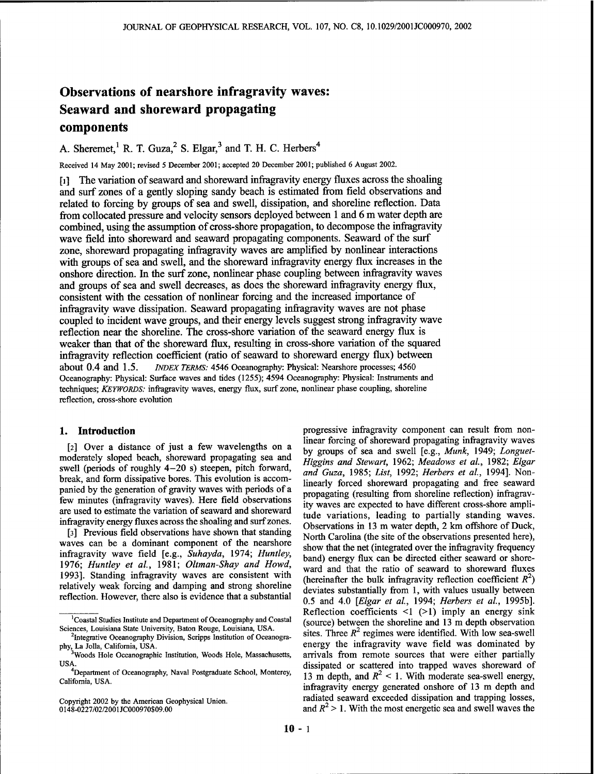# Observations of nearshore infragravity waves: Seaward and shoreward propagating components

A. Sheremet,<sup>1</sup> R. T. Guza,<sup>2</sup> S. Elgar,<sup>3</sup> and T. H. C. Herbers<sup>4</sup>

Received 14 May 2001; revised 5 December 2001; accepted 20 December 2001; published 6 August 2002.

[1] The variation of seaward and shoreward infragravity energy fluxes across the shoaling and surf zones of a gently sloping sandy beach is estimated from field observations and related to forcing by groups of sea and swell, dissipation, and shoreline reflection. Data from collocated pressure and velocity sensors deployed between <sup>1</sup> and 6 m water depth are combined, using the assumption of cross-shore propagation, to decompose the infragravity wave field into shoreward and seaward propagating components. Seaward of the surf zone, shoreward propagating infragravity waves are amplified by nonlinear interactions with groups of sea and swell, and the shoreward infragravity energy flux increases in the onshore direction. In the surf zone, nonlinear phase coupling between infragravity waves and groups of sea and swell decreases, as does the shoreward infragravity energy flux, consistent with the cessation of nonlinear forcing and the increased importance of infragravity wave dissipation. Seaward propagating infragravity waves are not phase coupled to incident wave groups, and their energy levels suggest strong infragravity wave reflection near the shoreline. The cross-shore variation of the seaward energy flux is weaker than that of the shoreward flux, resulting in cross-shore variation of the squared infragravity reflection coefficient (ratio of seaward to shoreward energy flux) between about 0.4 and 1.5. *INDEX TERMS:* 4546 Oceanography: Physical: Nearshore processes; 4560 Oceanography: Physical: Surface waves and tides (1255); 4594 Oceanography: Physical: Instruments and techniques; *KEYWORDS:* infragravity waves, energy flux, surf zone, nonlinear phase coupling, shoreline reflection, cross-shore evolution

# **1. Introduction**

[2] Over a distance of just a few wavelengths on a moderately sloped beach, shoreward propagating sea and swell (periods of roughly 4-20 s) steepen, pitch forward, break, and form dissipative bores. This evolution is accompanied by the generation of gravity waves with periods of a few minutes (infragravity waves). Here field observations are used to estimate the variation of seaward and shoreward infragravity energy fluxes across the shoaling and surfzones.

[3] Previous field observations have shown that standing waves can be a dominant component of the nearshore infragravity wave field [e.g., *Suhayda,* 1974; *Huntley,* 1976; *Huntley et al,* 1981; *Oltman-Shay and Howd,* 1993]. Standing infragravity waves are consistent with relatively weak forcing and damping and strong shoreline reflection. However, there also is evidence that a substantial

Copyright 2002 by the American Geophysical Union. 0148-0227/02/2001JC000970S09.00

progressive infragravity component can result from nonlinear forcing of shoreward propagating infragravity waves by groups of sea and swell [e.g., *Munk,* 1949; *Longuet-Higgins and Stewart,* 1962; *Meadows et al.,* 1982; *Elgar and Guza,* 1985; *List,* 1992; *Herbers et al,* 1994]. Nonlinearly forced shoreward propagating and free seaward propagating (resulting from shoreline reflection) infragravity waves are expected to have different cross-shore amplitude variations, leading to partially standing waves. Observations in 13 m water depth, 2 km offshore of Duck, North Carolina (the site of the observations presented here), show that the net (integrated over the infragravity frequency band) energy flux can be directed either seaward or shoreward and that the ratio of seaward to shoreward fluxes (hereinafter the bulk infragravity reflection coefficient  $R^2$ ) deviates substantially from 1, with values usually between 0.5 and 4.0 *[Elgar et al,* 1994; *Herbers et al,* 1995b]. Reflection coefficients  $\leq 1$  ( $\geq 1$ ) imply an energy sink (source) between the shoreline and 13 m depth observation sites. Three  $R^2$  regimes were identified. With low sea-swell energy the infragravity wave field was dominated by arrivals from remote sources that were either partially dissipated or scattered into trapped waves shoreward of 13 m depth, and  $R^2$  < 1. With moderate sea-swell energy, infragravity energy generated onshore of 13 m depth and radiated seaward exceeded dissipation and trapping losses, and  $R^2 > 1$ . With the most energetic sea and swell waves the

<sup>&</sup>lt;sup>1</sup>Coastal Studies Institute and Department of Oceanography and Coastal Sciences, Louisiana State University, Baton Rouge, Louisiana, USA.

<sup>&</sup>lt;sup>2</sup>Integrative Oceanography Division, Scripps Institution of Oceanography, La Jolla, California, USA. <sup>3</sup>Woods Hole Oceanographic Institution, Woods Hole, Massachusetts,

USA.

<sup>&</sup>lt;sup>4</sup>Department of Oceanography, Naval Postgraduate School, Monterey, California, USA.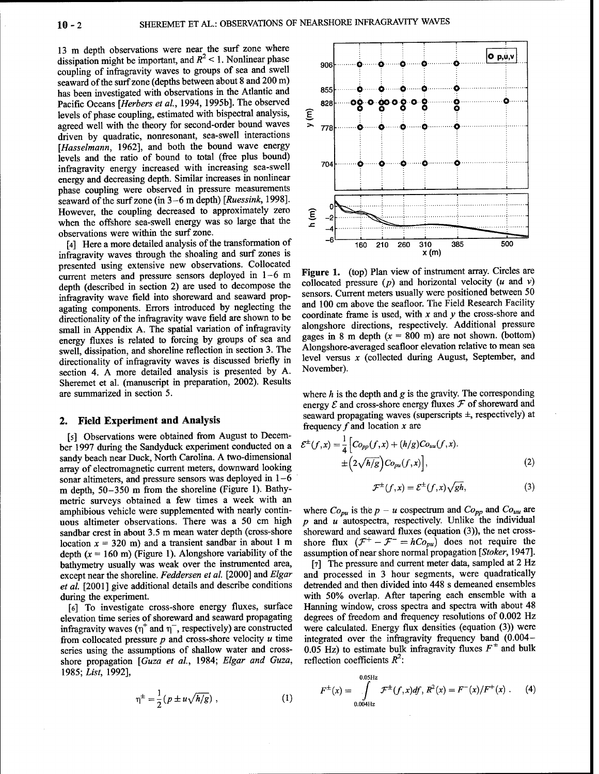13 m depth observations were near the surf zone where dissipation might be important, and  $R^2$  < 1. Nonlinear phase coupling of infragravity waves to groups of sea and swell seaward of the surf zone (depths between about 8 and 200 m) has been investigated with observations in the Atlantic and Pacific Oceans *[Herbers et al,* 1994, 1995b]. The observed levels of phase coupling, estimated with bispectral analysis, agreed well with the theory for second-order bound waves driven by quadratic, nonresonant, sea-swell interactions *[Hasselmann,* 1962], and both the bound wave energy levels and the ratio of bound to total (free plus bound) infragravity energy increased with increasing sea-swell energy and decreasing depth. Similar increases in nonlinear phase coupling were observed in pressure measurements seaward of the surf zone (in 3-6 m depth) [Ruessink, 1998]. However, the coupling decreased to approximately zero when the offshore sea-swell energy was so large that the observations were within the surf zone.

[4] Here a more detailed analysis of the transformation of infragravity waves through the shoaling and surf zones is presented using extensive new observations. Collocated current meters and pressure sensors deployed in 1-6 m depth (described in section 2) are used to decompose the infragravity wave field into shoreward and seaward propagating components. Errors introduced by neglecting the directionality of the infragravity wave field are shown to be small in Appendix A. The spatial variation of infragravity energy fluxes is related to forcing by groups of sea and swell, dissipation, and shoreline reflection in section 3. The directionality of infragravity waves is discussed briefly in section 4. A more detailed analysis is presented by A. Sheremet et al. (manuscript in preparation, 2002). Results are summarized in section 5.

#### **2. Field Experiment and Analysis**

[5] Observations were obtained from August to December 1997 during the Sandyduck experiment conducted on a sandy beach near Duck, North Carolina. A two-dimensional array of electromagnetic current meters, downward looking sonar altimeters, and pressure sensors was deployed in  $1-6$ m depth, 50-350 m from the shoreline (Figure 1). Bathymetric surveys obtained a few times a week with an amphibious vehicle were supplemented with nearly continuous altimeter observations. There was a 50 cm high sandbar crest in about 3.5 m mean water depth (cross-shore location  $x = 320$  m) and a transient sandbar in about 1 m depth  $(x = 160 \text{ m})$  (Figure 1). Alongshore variability of the bathymetry usually was weak over the instrumented area, except near the shoreline. *Feddersen et al.* [2000] and *Elgar et al.* [2001] give additional details and describe conditions during the experiment.

[6] To investigate cross-shore energy fluxes, surface elevation time series of shoreward and seaward propagating infragravity waves  $(\eta^+$  and  $\eta^-$ , respectively) are constructed from collocated pressure *p* and cross-shore velocity *u* time series using the assumptions of shallow water and crossshore propagation *[Guza et al.,* 1984; *Elgar and Guza,* 1985; *List,* 1992],

$$
\eta^{\pm} = \frac{1}{2} (p \pm u \sqrt{\hbar/g}) \; , \tag{1}
$$



**Figure** 1. (top) Plan view of instrument array. Circles are collocated pressure  $(p)$  and horizontal velocity  $(u \text{ and } v)$ sensors. Current meters usually were positioned between 50 and 100 cm above the seafloor. The Field Research Facility coordinate frame is used, with *x* and *y* the cross-shore and alongshore directions, respectively. Additional pressure gages in 8 m depth  $(x = 800 \text{ m})$  are not shown. (bottom) Alongshore-averaged seafloor elevation relative to mean sea level versus *x* (collected during August, September, and November).

where *h* is the depth and *g* is the gravity. The corresponding energy  $\mathcal E$  and cross-shore energy fluxes  $\mathcal F$  of shoreward and seaward propagating waves (superscripts ±, respectively) at frequency  $f$  and location  $x$  are

$$
\mathcal{E}^{\pm}(f,x) = \frac{1}{4} \Big[ C o_{pp}(f,x) + (h/g) C o_{uu}(f,x). \n\pm \Big( 2\sqrt{h/g} \Big) C o_{pu}(f,x) \Big],
$$
\n(2)

$$
\mathcal{F}^{\pm}(f,x) = \mathcal{E}^{\pm}(f,x)\sqrt{gh},\tag{3}
$$

where  $Co_{pu}$  is the  $p - u$  cospectrum and  $Co_{pp}$  and  $Co_{uu}$  are *p* and *u* autospectra, respectively. Unlike the individual shoreward and seaward fluxes (equation (3)), the net crossshoreward and seaward fluxes (equation (3)), the net cross-<br>shore flux  $(\mathcal{F}^+ - \mathcal{F}^- = hCo_{pu})$  does not require the assumption ofnear shore normal propagation *[Stoker,* 1947].

[7] The pressure and current meter data, sampled at 2 Hz and processed in 3 hour segments, were quadratically detrended and then divided into 448 s demeaned ensembles with 50% overlap. After tapering each ensemble with a Hanning window, cross spectra and spectra with about 48 degrees of freedom and frequency resolutions of 0.002 Hz were calculated. Energy flux densities (equation (3)) were integrated over the infragravity frequency band (0.004- 0.05 Hz) to estimate bulk infragravity fluxes  $F^{\pm}$  and bulk reflection coefficients  $R^2$ :

$$
F^{\pm}(x) = \int_{0.004 \text{Hz}}^{0.05 \text{Hz}} \mathcal{F}^{\pm}(f, x) df, R^2(x) = F^-(x) / F^+(x) \ . \tag{4}
$$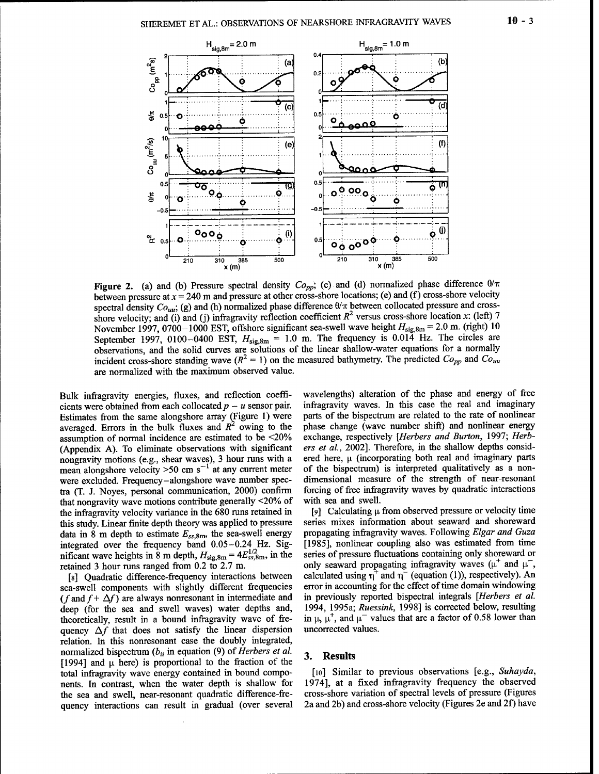

**Figure 2.** (a) and (b) Pressure spectral density  $Co_{pp}$ ; (c) and (d) normalized phase difference  $\theta/\pi$ between pressure at *x* = 240 m and pressure at other cross-shore locations; (e) and (f) cross-shore velocity spectral density  $Co_{uu}$ ; (g) and (h) normalized phase difference  $\theta/\pi$  between collocated pressure and crossshore velocity; and (i) and (j) infragravity reflection coefficient  $R^2$  versus cross-shore location *x*: (left) 7 November 1997, 0700-1000 EST, offshore significant sea-swell wave height  $H_{\text{sig,8m}} = 2.0$  m. (right) 10 September 1997, 0100-0400 EST,  $H_{sig,8m} = 1.0$  m. The frequency is 0.014 Hz. The circles are observations, and the solid curves are solutions of the linear shallow-water equations for a normally incident cross-shore standing wave  $(R^2 = 1)$  on the measured bathymetry. The predicted  $Co_{pp}$  and  $Co_{uu}$ are normalized with the maximum observed value.

Bulk infragravity energies, fluxes, and reflection coefficients were obtained from each collocated  $p - u$  sensor pair. Estimates from the same alongshore array (Figure 1) were averaged. Errors in the bulk fluxes and  $R^2$  owing to the assumption of normal incidence are estimated to be <20% (Appendix A). To eliminate observations with significant nongravity motions (e.g., shear waves), 3 hour runs with a mean alongshore velocity  $>50$  cm s<sup>-1</sup> at any current meter were excluded. Frequency-alongshore wave number spectra (T. J. Noyes, personal communication, 2000) confirm that nongravity wave motions contribute generally <20% of the infragravity velocity variance in the 680 runs retained in this study. Linear finite depth theory was applied to pressure data in 8 m depth to estimate  $E_{ss,8m}$ , the sea-swell energy integrated over the frequency band 0.05-0.24 Hz. Significant wave heights in 8 m depth,  $H_{sig,8m} = 4E_{ss,8m}^{1/2}$ , in the retained 3 hour runs ranged from 0.2 to 2.7 m.

[8] Quadratic difference-frequency interactions between sea-swell components with slightly different frequencies (f and  $f + \Delta f$ ) are always nonresonant in intermediate and deep (for the sea and swell waves) water depths and, theoretically, result in a bound infragravity wave of frequency  $\Delta f$  that does not satisfy the linear dispersion relation. In this nonresonant case the doubly integrated, normalized bispectrum  $(b_{ii}$  in equation (9) of *Herbers et al.* [1994] and  $\mu$  here) is proportional to the fraction of the total infragravity wave energy contained in bound components. In contrast, when the water depth is shallow for the sea and swell, near-resonant quadratic difference-frequency interactions can result in gradual (over several wavelengths) alteration of the phase and energy of free infragravity waves. In this case the real and imaginary parts of the bispectrum are related to the rate of nonlinear phase change (wave number shift) and nonlinear energy exchange, respectively *[Herbers and Burton,* 1997; *Herbers et al,* 2002]. Therefore, in the shallow depths considered here,  $\mu$  (incorporating both real and imaginary parts of the bispectrum) is interpreted qualitatively as a nondimensional measure of the strength of near-resonant forcing of free infragravity waves by quadratic interactions with sea and swell.

[9] Calculating  $\mu$  from observed pressure or velocity time series mixes information about seaward and shoreward propagating infragravity waves. Following *Elgar and Guza* [1985], nonlinear coupling also was estimated from time series of pressure fluctuations containing only shoreward or only seaward propagating infragravity waves ( $\mu^+$  and  $\mu^-,$ calculated using  $\eta^+$  and  $\eta^-$  (equation (1)), respectively). An error in accounting for the effect of time domain windowing in previously reported bispectral integrals *[Herbers et al* 1994, 1995a; *Ruessink,* 1998] is corrected below, resulting in  $\mu$ ,  $\mu^+$ , and  $\mu^-$  values that are a factor of 0.58 lower than uncorrected values.

## **3. Results**

[10] Similar to previous observations [e.g., *Suhayda,* 1974], at a fixed infragravity frequency the observed cross-shore variation of spectral levels of pressure (Figures 2a and 2b) and cross-shore velocity (Figures 2e and 2f) have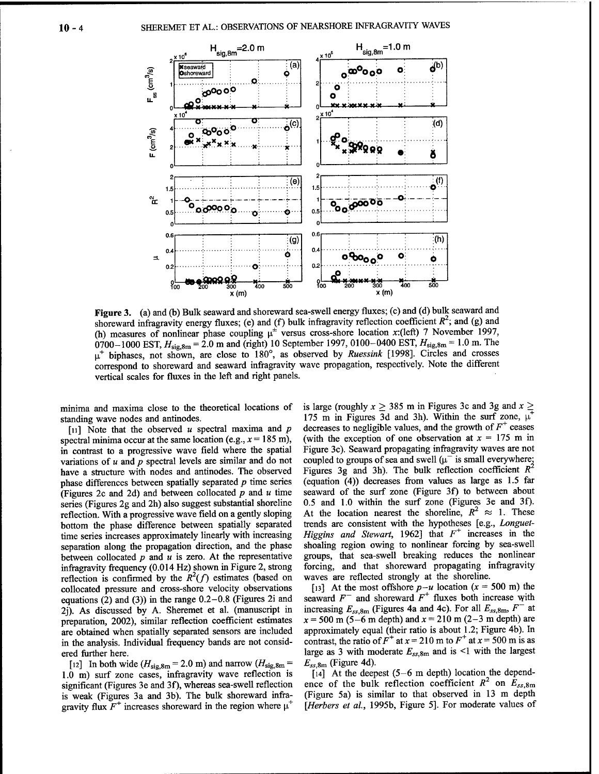

Figure 3. (a) and (b) Bulk seaward and shoreward sea-swell energy fluxes; (c) and (d) bulk seaward and shoreward infragravity energy fluxes; (e) and (f) bulk infragravity reflection coefficient  $R^2$ ; and (g) and (h) measures of nonlinear phase coupling  $\mu^{\pm}$  versus cross-shore location x:(left) 7 November 1997, 0700-1000 EST,  $H_{sig,8m} = 2.0$  m and (right) 10 September 1997, 0100-0400 EST,  $H_{sig,8m} = 1.0$  m. The  $\mu^+$  biphases, not shown, are close to 180°, as observed by Ruessink [1998]. Circles and crosses correspond to shoreward and seaward infragravity wave propagation, respectively. Note the different vertical scales for fluxes in the left and right panels.

minima and maxima close to the theoretical locations of standing wave nodes and antinodes.

[11] Note that the observed  $u$  spectral maxima and  $p$ spectral minima occur at the same location (e.g.,  $x = 185$  m), in contrast to a progressive wave field where the spatial variations of  $u$  and  $p$  spectral levels are similar and do not have a structure with nodes and antinodes. The observed phase differences between spatially separated  $p$  time series (Figures 2c and 2d) and between collocated  $p$  and  $u$  time series (Figures 2g and 2h) also suggest substantial shoreline reflection. With a progressive wave field on a gently sloping bottom the phase difference between spatially separated time series increases approximately linearly with increasing separation along the propagation direction, and the phase between collocated  $p$  and  $u$  is zero. At the representative infragravity frequency (0.014 Hz) shown in Figure 2, strong reflection is confirmed by the  $R^2(f)$  estimates (based on collocated pressure and cross-shore velocity observations equations (2) and (3)) in the range  $0.2-0.8$  (Figures 2i and 2j). As discussed by A. Sheremet et al. (manuscript in preparation, 2002), similar reflection coefficient estimates are obtained when spatially separated sensors are included in the analysis. Individual frequency bands are not considered further here.

[12] In both wide  $(H_{\text{sig,8m}} = 2.0 \text{ m})$  and narrow  $(H_{\text{sig,8m}} =$ 1.0 m) surf zone cases, infragravity wave reflection is significant (Figures 3e and 3f), whereas sea-swell reflection is weak (Figures 3a and 3b). The bulk shoreward infragravity flux  $F^+$  increases shoreward in the region where  $\mu^+$ 

is large (roughly  $x \ge 385$  m in Figures 3c and 3g and  $x \ge$ 175 m in Figures 3d and 3h). Within the surf zone,  $\mu^+$ decreases to negligible values, and the growth of  $F^+$  ceases (with the exception of one observation at  $x = 175$  m in Figure 3c). Seaward propagating infragravity waves are not coupled to groups of sea and swell ( $\mu^-$  is small everywhere; Figures 3g and 3h). The bulk reflection coefficient  $R^2$ (equation (4)) decreases from values as large as 1.5 far seaward of the surf zone (Figure 3f) to between about 0.5 and 1.0 within the surf zone (Figures 3e and 3f). At the location nearest the shoreline,  $R^2 \approx 1$ . These trends are consistent with the hypotheses [e.g., Longuet-Higgins and Stewart, 1962] that  $F^+$  increases in the shoaling region owing to nonlinear forcing by sea-swell groups, that sea-swell breaking reduces the nonlinear forcing, and that shoreward propagating infragravity waves are reflected strongly at the shoreline.

[13] At the most offshore  $p-u$  location  $(x = 500 \text{ m})$  the seaward  $F^-$  and shoreward  $F^+$  fluxes both increase with increasing  $E_{ss,8m}$  (Figures 4a and 4c). For all  $E_{ss,8m}$ ,  $F^-$  at  $x = 500$  m (5-6 m depth) and  $x = 210$  m (2-3 m depth) are approximately equal (their ratio is about 1.2; Figure 4b). In contrast, the ratio of  $F^+$  at  $x = 210$  m to  $F^+$  at  $x = 500$  m is as large as 3 with moderate  $E_{ss,8m}$  and is <1 with the largest  $E_{ss,8m}$  (Figure 4d).

 $\lceil 14 \rceil$  At the deepest (5–6 m depth) location the dependence of the bulk reflection coefficient  $R^2$  on  $E_{ss,8m}$ (Figure 5a) is similar to that observed in 13 m depth [Herbers et al., 1995b, Figure 5]. For moderate values of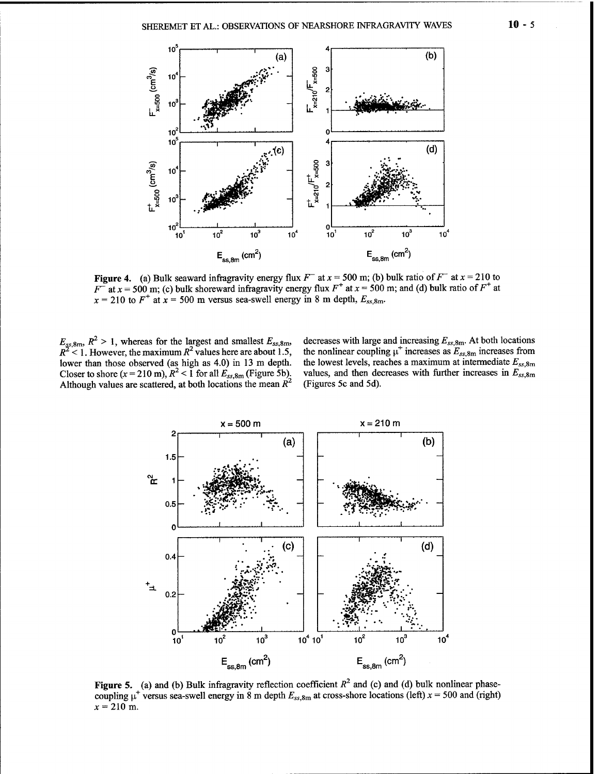

**Figure 4.** (a) Bulk seaward infragravity energy flux  $F^-$  at  $x = 500$  m; (b) bulk ratio of  $F^-$  at  $x = 210$  to  $F^2$  at  $x = 500$  m; (c) bulk shoreward infragravity energy flux  $F^+$  at  $x = 500$  m; and (d) bulk ratio of  $F^+$  at  $x = 210$  to  $F^+$  at  $x = 500$  m versus sea-swell energy in 8 m depth,  $E_{ss,8m}$ .

 $E_{gs,8m}$ ,  $R^2 > 1$ , whereas for the largest and smallest  $E_{ss,8m}$ ,  $R^2$  < 1. However, the maximum  $R^2$ Closer to shore  $(x = 210 \text{ m})$ ,  $R^2 < 1$  for all  $E_{ss,8m}$  (Figure 5b). Although values are scattered, at both locations the mean  $R^2$ 

decreases with large and increasing  $E_{ss,8m}$ . At both locations values here are about 1.5, the nonlinear coupling  $\mu^+$  increases as  $E_{ss,8m}$  increases from lower than those observed (as high as 4.0) in 13 m depth. the lowest levels, reaches a maximum at intermediate  $E_{ss,8m}$ values, and then decreases with further increases in  $E_{ss,8m}$ (Figures 5c and 5d).



Figure 5. (a) and (b) Bulk infragravity reflection coefficient  $R^2$  and (c) and (d) bulk nonlinear phasecoupling  $\mu^+$  versus sea-swell energy in 8 m depth  $E_{ss,8m}$  at cross-shore locations (left)  $x = 500$  and (right)  $x = 210$  m.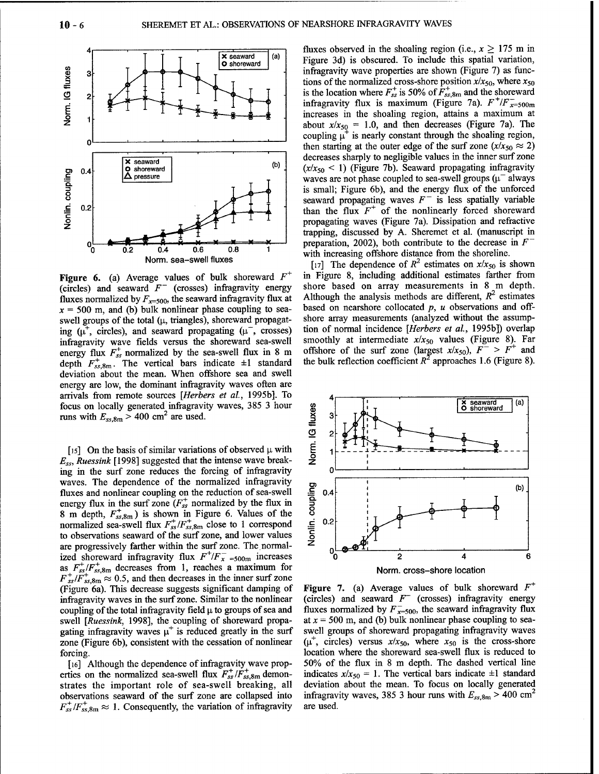

**Figure 6.** (a) Average values of bulk shoreward *F +* (circles) and seaward  $F^-$  (crosses) infragravity energy fluxes normalized by  $F_{x=500}$ , the seaward infragravity flux at  $x = 500$  m, and (b) bulk nonlinear phase coupling to seaswell groups of the total  $(\mu,$  triangles), shoreward propagating  $(\mu^+, \text{ circles})$ , and seaward propagating  $(\mu^-, \text{ crosses})$ infragravity wave fields versus the shoreward sea-swell energy flux  $F_{ss}^{+}$  normalized by the sea-swell flux in 8 m depth  $F_{ss,8m}^+$ . The vertical bars indicate  $\pm 1$  standard deviation about the mean. When offshore sea and swell energy are low, the dominant infragravity waves often are arrivals from remote sources *[Herbers et al,* 1995b]. To focus on locally generated infragravity waves, 385 3 hour runs with  $E_{ss,8m}$  > 400 cm<sup>2</sup> are used.

[15] On the basis of similar variations of observed  $\mu$  with *Ess, Ruessink* [1998] suggested that the intense wave breaking in the surf zone reduces the forcing of infragravity waves. The dependence of the normalized infragravity fluxes and nonlinear coupling on the reduction of sea-swell energy flux in the surf zone  $(F^{\dagger}_{ss}$  normalized by the flux in 8 m depth,  $F^{\dagger}_{ss,8m}$ ) is shown in Figure 6. Values of the normalized sea-swell flux  $F_{ss}^+/F_{ss,8m}^+$  close to 1 correspond to observations seaward of the surf zone, and lower values are progressively farther within the surf zone. The normalized shoreward infragravity flux  $F^{\dagger}/F_{x}^{-}$  =soom increases as  $F_{ss}^{+}/F_{ss,8m}^{+}$  decreases from 1, reaches a maximum for  $F^{\dagger}_{ss}/F^{\dagger}_{ss,8m} \approx 0.5$ , and then decreases in the inner surf zone (Figure 6a). This decrease suggests significant damping of infragravity waves in the surf zone. Similar to the nonlinear coupling of the total infragravity field  $\mu$  to groups of sea and swell *[Ruessink,* 1998], the coupling of shoreward propagating infragravity waves  $\mu^+$  is reduced greatly in the surf zone (Figure 6b), consistent with the cessation of nonlinear forcing.

[16] Although the dependence of infragravity wave properties on the normalized sea-swell flux  $F^{\dagger}_{ss}/F^{\dagger}_{ss,8m}$  demonstrates the important role of sea-swell breaking, all observations seaward of the surf zone are collapsed into  $F^{\dagger}_{ss}/F^{\dagger}_{ss,8m} \approx 1$ . Consequently, the variation of infragravity

fluxes observed in the shoaling region (i.e.,  $x \geq 175$  m in Figure 3d) is obscured. To include this spatial variation, infragravity wave properties are shown (Figure 7) as functions of the normalized cross-shore position  $x/x_{50}$ , where  $x_{50}$ is the location where  $F_{ss}^+$  is 50% of  $\overline{F}_{ss,8m}^+$  and the shoreward infragravity flux is maximum (Figure 7a).  $F^{-1}/F^{-}_{x=500m}$ increases in the shoaling region, attains a maximum at about  $x/x_{50} = 1.0$ , and then decreases (Figure 7a). The coupling  $\mu^+$  is nearly constant through the shoaling region, then starting at the outer edge of the surf zone  $(x/x_{50} \approx 2)$ decreases sharply to negligible values in the inner surf zone  $(x/x_{50} < 1)$  (Figure 7b). Seaward propagating infragravity waves are not phase coupled to sea-swell groups  $(\mu^-)$  always is small; Figure 6b), and the energy flux of the unforced seaward propagating waves  $F^-$  is less spatially variable than the flux  $F^+$  of the nonlinearly forced shoreward propagating waves (Figure 7a). Dissipation and refractive trapping, discussed by A. Sheremet et al. (manuscript in preparation, 2002), both contribute to the decrease in  $F^$ with increasing offshore distance from the shoreline.

[17] The dependence of  $R^2$  estimates on  $x/x_{50}$  is shown in Figure 8, including additional estimates farther from shore based on array measurements in 8 m depth. Although the analysis methods are different,  $R^2$  estimates based on nearshore collocated *p, u* observations and offshore array measurements (analyzed without the assumption of normal incidence *[Herbers et al,* 1995b]) overlap smoothly at intermediate *x/x<sup>50</sup>* values (Figure 8). Far offshore of the surf zone (largest  $x/x_{50}$ ),  $F^{-} > F^{+}$  and the bulk reflection coefficient  $R^2$  approaches 1.6 (Figure 8).



**Figure 7.** (a) Average values of bulk shoreward *F +* (circles) and seaward  $F^-$  (crosses) infragravity energy fluxes normalized by  $F^-_{x=500}$ , the seaward infragravity flux at  $x = 500$  m, and (b) bulk nonlinear phase coupling to seaswell groups of shoreward propagating infragravity waves  $(\mu^+$ , circles) versus  $x/x_{50}$ , where  $x_{50}$  is the cross-shore location where the shoreward sea-swell flux is reduced to 50% of the flux in 8 m depth. The dashed vertical line indicates  $x/x_{50} = 1$ . The vertical bars indicate  $\pm 1$  standard deviation about the mean. To focus on locally generated infragravity waves, 385 3 hour runs with  $E_{ss,8m}$  > 400 cm<sup>2</sup> are used.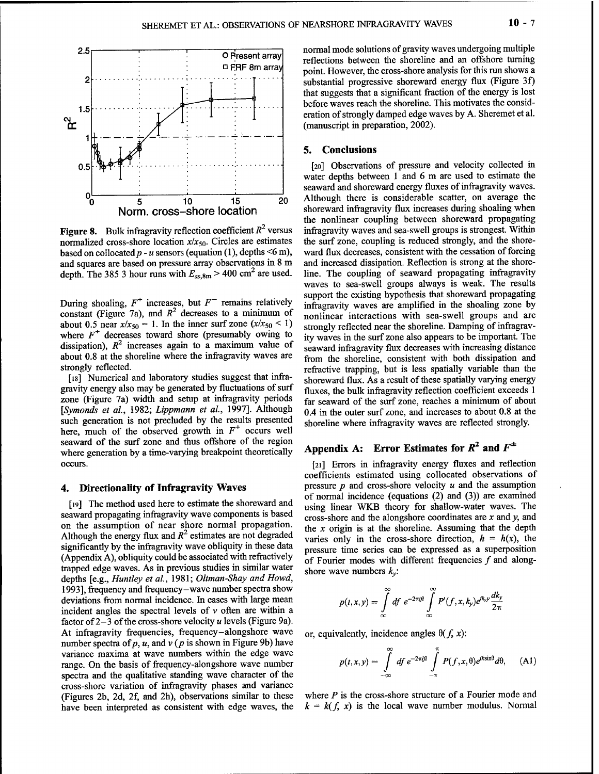

**Figure 8.** Bulk infragravity reflection coefficient  $R^2$  versus normalized cross-shore location *x/x50.* Circles are estimates based on collocated  $p - u$  sensors (equation (1), depths  $\leq 6$  m), and squares are based on pressure array observations in 8 m depth. The 385 3 hour runs with  $E_{ss,8m}$  > 400 cm<sup>2</sup> are used.

During shoaling,  $F^+$  increases, but  $F^-$  remains relatively constant (Figure 7a), and  $R^2$  decreases to a minimum of about 0.5 near  $x/x_{50} = 1$ . In the inner surf zone  $(x/x_{50} < 1)$ where  $F^+$  decreases toward shore (presumably owing to dissipation),  $R^2$  increases again to a maximum value of about 0.8 at the shoreline where the infragravity waves are strongly reflected.

[18] Numerical and laboratory studies suggest that infragravity energy also may be generated by fluctuations of surf zone (Figure 7a) width and setup at infragravity periods *[Symonds et al,* 1982; *Lippmann et al,* 1997]. Although such generation is not precluded by the results presented here, much of the observed growth in  $F^+$  occurs well seaward of the surf zone and thus offshore of the region where generation by a time-varying breakpoint theoretically occurs.

#### **4. Directionality of Infragravity Waves**

[19] The method used here to estimate the shoreward and seaward propagating infragravity wave components is based on the assumption of near shore normal propagation. Although the energy flux and  $R^2$  estimates are not degraded significantly by the infragravity wave obliquity in these data (Appendix A), obliquity could be associated with refractively trapped edge waves. As in previous studies in similar water depths [e.g., *Huntley et al,* 1981; *Oltman-Shay and Howd,* 1993], frequency and frequency-wave number spectra show deviations from normal incidence. In cases with large mean incident angles the spectral levels of  $\nu$  often are within a factor of 2-3 of the cross-shore velocity *u* levels (Figure 9a). At infragravity frequencies, frequency-alongshore wave number spectra of *p*, *u*, and *v* (*p* is shown in Figure 9b) have variance maxima at wave numbers within the edge wave range. On the basis of frequency-alongshore wave number spectra and the qualitative standing wave character of the cross-shore variation of infragravity phases and variance (Figures 2b, 2d, 2f, and 2h), observations similar to these have been interpreted as consistent with edge waves, the normal mode solutions of gravity waves undergoing multiple reflections between the shoreline and an offshore turning point. However, the cross-shore analysis for this run shows a substantial progressive shoreward energy flux (Figure 3f) that suggests that a significant fraction of the energy is lost before waves reach the shoreline. This motivates the consideration of strongly damped edge waves by A. Sheremet et al. (manuscript in preparation, 2002).

### **5. Conclusions**

[20] Observations of pressure and velocity collected in water depths between <sup>1</sup> and 6 m are used to estimate the seaward and shoreward energy fluxes of infragravity waves. Although there is considerable scatter, on average the shoreward infragravity flux increases during shoaling when the nonlinear coupling between shoreward propagating infragravity waves and sea-swell groups is strongest. Within the surf zone, coupling is reduced strongly, and the shoreward flux decreases, consistent with the cessation of forcing and increased dissipation. Reflection is strong at the shoreline. The coupling of seaward propagating infragravity waves to sea-swell groups always is weak. The results support the existing hypothesis that shoreward propagating infragravity waves are amplified in the shoaling zone by nonlinear interactions with sea-swell groups and are strongly reflected near the shoreline. Damping of infragravity waves in the surf zone also appears to be important. The seaward infragravity flux decreases with increasing distance from the shoreline, consistent with both dissipation and refractive trapping, but is less spatially variable than the shoreward flux. As a result of these spatially varying energy fluxes, the bulk infragravity reflection coefficient exceeds <sup>1</sup> far seaward of the surf zone, reaches a minimum of about 0.4 in the outer surf zone, and increases to about 0.8 at the shoreline where infragravity waves are reflected strongly.

# Appendix A: Error Estimates for  $R^2$  and  $F^{\pm}$

[21] Errors in infragravity energy fluxes and reflection coefficients estimated using collocated observations of pressure *p* and cross-shore velocity *u* and the assumption of normal incidence (equations (2) and (3)) are examined using linear WKB theory for shallow-water waves. The cross-shore and the alongshore coordinates are *x* and *y,* and the *x* origin is at the shoreline. Assuming that the depth varies only in the cross-shore direction,  $h = h(x)$ , the pressure time series can be expressed as a superposition of Fourier modes with different frequencies  $f$  and alongshore wave numbers *k<sup>v</sup>:*

$$
p(t,x,y) = \int_{\infty}^{\infty} df \ e^{-2\pi ift} \int_{\infty}^{\infty} P'(f,x,k_y) e^{ik_y y} \frac{dk_y}{2\pi}
$$

or, equivalently, incidence angles  $\theta(f, x)$ :

$$
p(t,x,y)=\int\limits_{-\infty}^{\infty}df\,e^{-2\pi ift}\int\limits_{-\pi}^{\pi}P(f,x,\theta)e^{ik\sin\theta}d\theta,\qquad\text{(A1)}
$$

where *P* is the cross-shore structure of a Fourier mode and  $k = k(f, x)$  is the local wave number modulus. Normal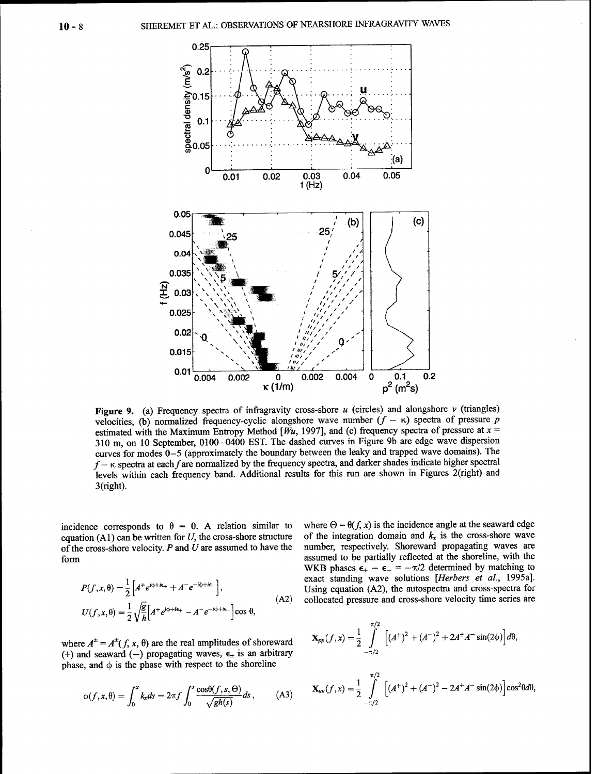

Figure 9. (a) Frequency spectra of infragravity cross-shore  $u$  (circles) and alongshore  $v$  (triangles) velocities, (b) normalized frequency-cyclic alongshore wave number  $(f - \kappa)$  spectra of pressure p estimated with the Maximum Entropy Method [ $W_u$ , 1997], and (c) frequency spectra of pressure at  $x =$ 310 m, on 10 September, 0100-0400 EST. The dashed curves in Figure 9b are edge wave dispersion curves for modes 0-5 (approximately the boundary between the leaky and trapped wave domains). The  $f - \kappa$  spectra at each f are normalized by the frequency spectra, and darker shades indicate higher spectral levels within each frequency band. Additional results for this run are shown in Figures 2(right) and  $3$ (right).

incidence corresponds to  $\theta = 0$ . A relation similar to equation  $(A1)$  can be written for U, the cross-shore structure of the cross-shore velocity.  $P$  and  $U$  are assumed to have the form

$$
P(f, x, \theta) = \frac{1}{2} \left[ A^+ e^{i\phi + i\epsilon_+} + A^- e^{-i\phi + i\epsilon_-} \right],
$$
  
\n
$$
U(f, x, \theta) = \frac{1}{2} \sqrt{\frac{g}{h}} \left[ A^+ e^{i\phi + i\epsilon_+} - A^- e^{-i\phi + i\epsilon_-} \right] \cos \theta,
$$
\n(A2)

where  $A^{\pm} = A^{\pm}(f, x, \theta)$  are the real amplitudes of shoreward (+) and seaward (-) propagating waves,  $\epsilon_{\pm}$  is an arbitrary phase, and  $\phi$  is the phase with respect to the shoreline

$$
\phi(f, x, \theta) = \int_0^x k_x ds = 2\pi f \int_0^x \frac{\cos\theta(f, s, \Theta)}{\sqrt{gh(s)}} ds, \quad (A3)
$$

where  $\Theta = \theta(f, x)$  is the incidence angle at the seaward edge of the integration domain and  $k_x$  is the cross-shore wave number, respectively. Shoreward propagating waves are assumed to be partially reflected at the shoreline, with the WKB phases  $\epsilon_+ - \epsilon_- = -\pi/2$  determined by matching to exact standing wave solutions [Herbers et al., 1995a]. Using equation (A2), the autospectra and cross-spectra for collocated pressure and cross-shore velocity time series are

$$
\mathbf{X}_{pp}(f,x) = \frac{1}{2} \int_{-\pi/2}^{\pi/2} \left[ (A^{+})^{2} + (A^{-})^{2} + 2A^{+}A^{-} \sin(2\phi) \right] d\theta,
$$
  
 
$$
\pi/2
$$

$$
\mathbf{X}_{uu}(f,x) = \frac{1}{2} \int_{-\pi/2}^{\pi/2} \left[ (A^+)^2 + (A^-)^2 - 2A^+A^- \sin(2\phi) \right] \cos^2\theta d\theta,
$$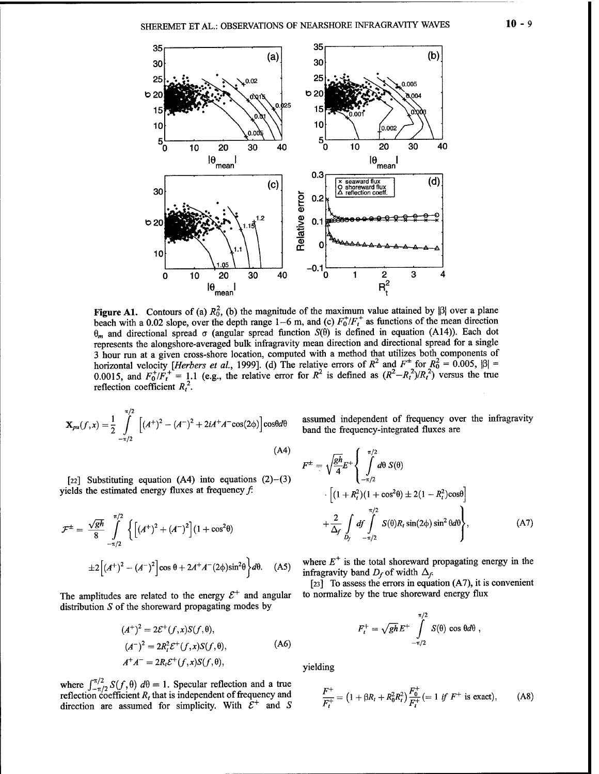

Figure A1. Contours of (a)  $R_0^2$ , (b) the magnitude of the maximum value attained by  $|\beta|$  over a plane beach with a 0.02 slope, over the depth range  $1-6$  m, and (c)  $F_0^+/F_t^+$  as functions of the mean direction  $\theta_m$  and directional spread  $\sigma$  (angular spread function  $S(\theta)$  is defined in equation (A14)). Each dot represents the alongshore-averaged bulk infragravity mean direction and directional spread for a single 3 hour run at a given cross-shore location, computed with a method that utilizes both components of horizontal velocity *[Herbers et al.*, 1999]. (d) The relative errors of  $R^2$  and  $F^{\pm}$  for  $R_0^2 = 0.005$ ,  $|\beta| =$ 0.0015, and  $F_0^+/F_t^+ = 1.1$  (e.g., the relative error for  $R^2$  is defined as  $(R^2 - R_t^2)/R_t^2$ ) versus the true reflection coefficient  $R_t^2$ .

$$
\mathbf{X}_{pu}(f,x) = \frac{1}{2} \int_{-\pi/2}^{\pi/2} \left[ (A^{+})^{2} - (A^{-})^{2} + 2iA^{+}A^{-}\cos(2\phi) \right] \cos\theta d\theta
$$
\n(A4)

[22] Substituting equation  $(A4)$  into equations  $(2)-(3)$ yields the estimated energy fluxes at frequency  $f$ :

$$
\mathcal{F}^{\pm} = \frac{\sqrt{gh}}{8} \int_{-\pi/2}^{\pi/2} \left\{ \left[ (A^{+})^{2} + (A^{-})^{2} \right] (1 + \cos^{2}\theta) + \frac{2}{\Delta_{f}} \int_{D_{f}} df \int_{-\pi/2}^{\pi/2} S(\theta) R_{t} \sin(2\phi) \sin^{2}\theta d\theta \right\},
$$
 (A7)  

$$
\pm 2 \left[ (A^{+})^{2} - (A^{-})^{2} \right] \cos \theta + 2A^{+}A^{-}(2\phi)\sin^{2}\theta \right\} d\theta.
$$
 (A5) where  $E^{+}$  is the total showerward propagating energy in the  
infragravity band  $D_{f}$  of width  $\Delta_{f}$ .

The amplitudes are related to the energy  $\mathcal{E}^+$ distribution *S* of the shoreward propagating modes by

$$
(A^{+})^{2} = 2\mathcal{E}^{+}(f, x)S(f, \theta),
$$
  
\n
$$
(A^{-})^{2} = 2R_{t}^{2}\mathcal{E}^{+}(f, x)S(f, \theta),
$$
  
\n
$$
A^{+}A^{-} = 2R_{t}\mathcal{E}^{+}(f, x)S(f, \theta),
$$
\n(A6)

where  $\int_{-\pi/2}^{\pi/2} S(f, \theta) d\theta = 1$ . Specular reflection and a true reflection coefficient *R<sub>t</sub>* that is independent of frequency and direction are assumed for simplicity. With  $\mathcal{E}^+$  and *S*  assumed independent of frequency over the infragravity band the frequency-integrated fluxes are

$$
F^{\pm} = \sqrt{\frac{gh}{4}} E^{+} \left\{ \int_{-\pi/2}^{\pi/2} d\theta \ S(\theta) \right.\cdot \left[ (1 + R_{t}^{2})(1 + \cos^{2}\theta) \pm 2(1 - R_{t}^{2})\cos\theta \right] \left. + \frac{2}{\Delta_{f}} \int_{D_{f}} df \int_{-\pi/2}^{\pi/2} S(\theta) R_{t} \sin(2\phi) \sin^{2}\theta d\theta \right\},
$$
\n(A7)

pag

 $[23]$  To assess the errors in equation (A7), it is convenient to normalize by the true shoreward energy flux

$$
F_t^+ = \sqrt{gh} E^+ \int_{-\pi/2}^{\pi/2} S(\theta) \cos \theta d\theta,
$$

yielding

$$
\frac{F^+}{F_t^+} = \left(1 + \beta R_t + R_0^2 R_t^2\right) \frac{F_0^+}{F_t^+} (= 1 \text{ if } F^+ \text{ is exact}\right), \tag{A8}
$$